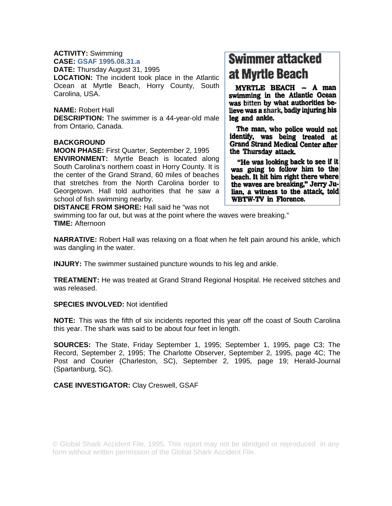# **ACTIVITY:** Swimming

**CASE: GSAF 1995.08.31.a DATE:** Thursday August 31, 1995 **LOCATION:** The incident took place in the Atlantic Ocean at Myrtle Beach, Horry County, South Carolina, USA.

## **NAME:** Robert Hall

**DESCRIPTION:** The swimmer is a 44-year-old male from Ontario, Canada.

#### **BACKGROUND**

**MOON PHASE:** First Quarter, September 2, 1995

**ENVIRONMENT:** Myrtle Beach is located along South Carolina's northern coast in Horry County. It is the center of the Grand Strand, 60 miles of beaches that stretches from the North Carolina border to Georgetown. Hall told authorities that he saw a school of fish swimming nearby.

# **Swimmer attacked** at Myrtle Beach

MYRTLE BEACH - A man swimming in the Atlantic Ocean was bitten by what authorities believe was a shark, badly injuring his leg and ankle.

The man, who police would not identify, was being treated at **Grand Strand Medical Center after** the Thursday attack.

"He was looking back to see if it was going to follow him to the beach. It hit him right there where the waves are breaking," Jerry Julian, a witness to the attack, told WBTW-TV in Florence.

**DISTANCE FROM SHORE:** Hall said he "was not

swimming too far out, but was at the point where the waves were breaking." **TIME:** Afternoon

**NARRATIVE:** Robert Hall was relaxing on a float when he felt pain around his ankle, which was dangling in the water.

**INJURY:** The swimmer sustained puncture wounds to his leg and ankle.

**TREATMENT:** He was treated at Grand Strand Regional Hospital. He received stitches and was released.

#### **SPECIES INVOLVED:** Not identified

**NOTE:** This was the fifth of six incidents reported this year off the coast of South Carolina this year. The shark was said to be about four feet in length.

**SOURCES:** The State, Friday September 1, 1995; September 1, 1995, page C3; The Record, September 2, 1995; The Charlotte Observer, September 2, 1995, page 4C; The Post and Courier (Charleston, SC), September 2, 1995, page 19; Herald-Journal (Spartanburg, SC).

### **CASE INVESTIGATOR:** Clay Creswell, GSAF